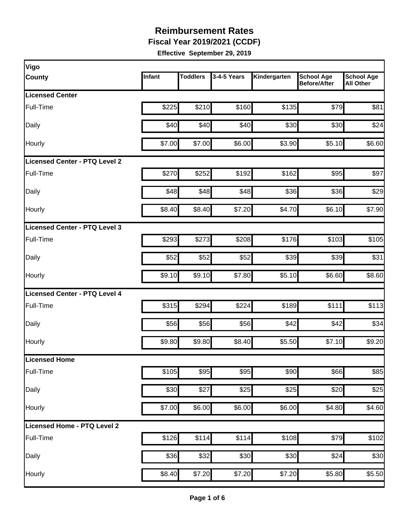**Fiscal Year 2019/2021 (CCDF)** 

| Vigo                          |        |                 |             |              |                                          |                                       |
|-------------------------------|--------|-----------------|-------------|--------------|------------------------------------------|---------------------------------------|
| <b>County</b>                 | Infant | <b>Toddlers</b> | 3-4-5 Years | Kindergarten | <b>School Age</b><br><b>Before/After</b> | <b>School Age</b><br><b>All Other</b> |
| <b>Licensed Center</b>        |        |                 |             |              |                                          |                                       |
| Full-Time                     | \$225  | \$210           | \$160       | \$135        | \$79                                     | \$81                                  |
| Daily                         | \$40   | \$40            | \$40        | \$30         | \$30                                     | \$24                                  |
| Hourly                        | \$7.00 | \$7.00          | \$6.00      | \$3.90       | \$5.10                                   | \$6.60                                |
| Licensed Center - PTQ Level 2 |        |                 |             |              |                                          |                                       |
| Full-Time                     | \$270  | \$252           | \$192       | \$162        | \$95                                     | \$97                                  |
| Daily                         | \$48   | \$48            | \$48        | \$36         | \$36                                     | \$29                                  |
| Hourly                        | \$8.40 | \$8.40          | \$7.20      | \$4.70       | \$6.10                                   | \$7.90                                |
| Licensed Center - PTQ Level 3 |        |                 |             |              |                                          |                                       |
| Full-Time                     | \$293  | \$273           | \$208       | \$176        | \$103                                    | \$105                                 |
| Daily                         | \$52   | \$52            | \$52        | \$39         | \$39                                     | \$31                                  |
| Hourly                        | \$9.10 | \$9.10          | \$7.80      | \$5.10       | \$6.60                                   | \$8.60                                |
| Licensed Center - PTQ Level 4 |        |                 |             |              |                                          |                                       |
| Full-Time                     | \$315  | \$294           | \$224       | \$189        | \$111                                    | \$113                                 |
| Daily                         | \$56   | \$56            | \$56        | \$42         | \$42                                     | \$34                                  |
| Hourly                        | \$9.80 | \$9.80          | \$8.40      | \$5.50       | \$7.10                                   | \$9.20                                |
| Licensed Home                 |        |                 |             |              |                                          |                                       |
| Full-Time                     | \$105  | \$95            | \$95        | \$90         | \$66                                     | \$85                                  |
| Daily                         | \$30   | \$27            | \$25        | \$25         | $\overline{$}20$                         | \$25                                  |
| Hourly                        | \$7.00 | \$6.00          | \$6.00      | \$6.00       | \$4.80                                   | \$4.60                                |
| Licensed Home - PTQ Level 2   |        |                 |             |              |                                          |                                       |
| Full-Time                     | \$126  | \$114           | \$114       | \$108        | \$79                                     | \$102                                 |
| Daily                         | \$36   | \$32            | \$30        | \$30         | \$24                                     | \$30                                  |
| Hourly                        | \$8.40 | \$7.20          | \$7.20      | \$7.20       | \$5.80                                   | \$5.50                                |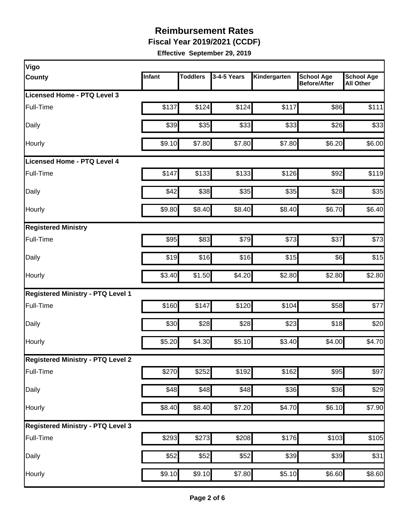**Fiscal Year 2019/2021 (CCDF)** 

| Infant | <b>Toddlers</b> | 3-4-5 Years                                                                                       | Kindergarten                                                                                                                                         | <b>School Age</b><br><b>Before/After</b>                                                                                                      | <b>School Age</b><br><b>All Other</b>                                                                                                                                                                                                                                                                                |
|--------|-----------------|---------------------------------------------------------------------------------------------------|------------------------------------------------------------------------------------------------------------------------------------------------------|-----------------------------------------------------------------------------------------------------------------------------------------------|----------------------------------------------------------------------------------------------------------------------------------------------------------------------------------------------------------------------------------------------------------------------------------------------------------------------|
|        |                 |                                                                                                   |                                                                                                                                                      |                                                                                                                                               |                                                                                                                                                                                                                                                                                                                      |
| \$137  |                 | \$124                                                                                             | \$117                                                                                                                                                |                                                                                                                                               | \$111                                                                                                                                                                                                                                                                                                                |
|        |                 |                                                                                                   |                                                                                                                                                      |                                                                                                                                               | \$33                                                                                                                                                                                                                                                                                                                 |
|        |                 |                                                                                                   |                                                                                                                                                      |                                                                                                                                               | \$6.00                                                                                                                                                                                                                                                                                                               |
|        |                 |                                                                                                   |                                                                                                                                                      |                                                                                                                                               |                                                                                                                                                                                                                                                                                                                      |
| \$147  |                 |                                                                                                   |                                                                                                                                                      |                                                                                                                                               | \$119                                                                                                                                                                                                                                                                                                                |
| \$42   |                 |                                                                                                   |                                                                                                                                                      |                                                                                                                                               | \$35                                                                                                                                                                                                                                                                                                                 |
|        |                 |                                                                                                   |                                                                                                                                                      |                                                                                                                                               | \$6.40                                                                                                                                                                                                                                                                                                               |
|        |                 |                                                                                                   |                                                                                                                                                      |                                                                                                                                               |                                                                                                                                                                                                                                                                                                                      |
| \$95   |                 |                                                                                                   |                                                                                                                                                      | \$37                                                                                                                                          | \$73                                                                                                                                                                                                                                                                                                                 |
|        |                 |                                                                                                   |                                                                                                                                                      |                                                                                                                                               | \$15                                                                                                                                                                                                                                                                                                                 |
| \$3.40 |                 | \$4.20                                                                                            |                                                                                                                                                      |                                                                                                                                               | \$2.80                                                                                                                                                                                                                                                                                                               |
|        |                 |                                                                                                   |                                                                                                                                                      |                                                                                                                                               |                                                                                                                                                                                                                                                                                                                      |
|        | \$147           | \$120                                                                                             |                                                                                                                                                      |                                                                                                                                               | $\overline{$}77$                                                                                                                                                                                                                                                                                                     |
| \$30   |                 |                                                                                                   |                                                                                                                                                      |                                                                                                                                               | \$20                                                                                                                                                                                                                                                                                                                 |
|        |                 |                                                                                                   |                                                                                                                                                      |                                                                                                                                               | \$4.70                                                                                                                                                                                                                                                                                                               |
|        |                 |                                                                                                   |                                                                                                                                                      |                                                                                                                                               |                                                                                                                                                                                                                                                                                                                      |
|        |                 |                                                                                                   |                                                                                                                                                      |                                                                                                                                               | \$97                                                                                                                                                                                                                                                                                                                 |
|        |                 |                                                                                                   |                                                                                                                                                      |                                                                                                                                               | \$29                                                                                                                                                                                                                                                                                                                 |
|        |                 |                                                                                                   |                                                                                                                                                      |                                                                                                                                               | \$7.90                                                                                                                                                                                                                                                                                                               |
|        |                 |                                                                                                   |                                                                                                                                                      |                                                                                                                                               |                                                                                                                                                                                                                                                                                                                      |
|        |                 |                                                                                                   |                                                                                                                                                      |                                                                                                                                               | \$105                                                                                                                                                                                                                                                                                                                |
| \$52   |                 |                                                                                                   |                                                                                                                                                      |                                                                                                                                               | \$31                                                                                                                                                                                                                                                                                                                 |
|        |                 |                                                                                                   |                                                                                                                                                      |                                                                                                                                               | \$8.60                                                                                                                                                                                                                                                                                                               |
|        |                 | \$39<br>\$9.10<br>\$9.80<br>\$19<br>\$160<br>\$5.20<br>\$270<br>\$48<br>\$8.40<br>\$293<br>\$9.10 | \$124<br>\$35<br>\$7.80<br>\$133<br>\$38<br>\$8.40<br>\$83<br>\$16<br>\$1.50<br>\$28<br>\$4.30<br>\$252<br>\$48<br>\$8.40<br>\$273<br>\$52<br>\$9.10 | \$33<br>\$7.80<br>\$133<br>\$35<br>\$8.40<br>\$79<br>\$16<br>\$28<br>\$5.10<br>\$192<br>\$48<br>\$7.20<br>\$208<br>$\overline{$}52$<br>\$7.80 | \$86<br>\$33<br>\$26<br>\$6.20<br>\$7.80<br>\$126<br>\$92<br>\$35<br>\$28<br>\$6.70<br>\$8.40<br>\$73<br>\$15<br>\$6<br>\$2.80<br>\$2.80<br>\$104<br>\$58<br>\$18<br>\$23<br>\$3.40<br>\$4.00<br>\$162<br>\$95<br>$\overline{$}36$<br>\$36<br>\$6.10<br>\$4.70<br>\$176<br>\$103<br>\$39<br>\$39<br>\$5.10<br>\$6.60 |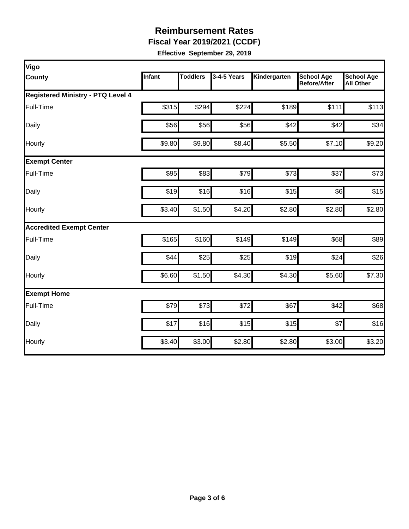**Fiscal Year 2019/2021 (CCDF)** 

| Vigo                              |        |                 |             |              |                                          |                                       |
|-----------------------------------|--------|-----------------|-------------|--------------|------------------------------------------|---------------------------------------|
| <b>County</b>                     | Infant | <b>Toddlers</b> | 3-4-5 Years | Kindergarten | <b>School Age</b><br><b>Before/After</b> | <b>School Age</b><br><b>All Other</b> |
| Registered Ministry - PTQ Level 4 |        |                 |             |              |                                          |                                       |
| Full-Time                         | \$315  | \$294           | \$224       | \$189        | \$111                                    | \$113                                 |
| Daily                             | \$56   | \$56            | \$56        | \$42         | \$42                                     | \$34                                  |
| Hourly                            | \$9.80 | \$9.80          | \$8.40      | \$5.50       | \$7.10                                   | \$9.20                                |
| <b>Exempt Center</b>              |        |                 |             |              |                                          |                                       |
| Full-Time                         | \$95   | \$83            | \$79        | \$73         | \$37                                     | \$73                                  |
| Daily                             | \$19   | \$16            | \$16        | \$15         | \$6                                      | \$15                                  |
| Hourly                            | \$3.40 | \$1.50          | \$4.20      | \$2.80       | \$2.80                                   | \$2.80                                |
| <b>Accredited Exempt Center</b>   |        |                 |             |              |                                          |                                       |
| Full-Time                         | \$165  | \$160           | \$149       | \$149        | \$68                                     | \$89                                  |
| Daily                             | \$44   | \$25            | \$25        | \$19         | \$24                                     | \$26                                  |
| Hourly                            | \$6.60 | \$1.50          | \$4.30      | \$4.30       | \$5.60                                   | \$7.30                                |
| <b>Exempt Home</b>                |        |                 |             |              |                                          |                                       |
| Full-Time                         | \$79   | \$73            | \$72        | \$67         | \$42                                     | \$68                                  |
| Daily                             | \$17   | \$16            | \$15        | \$15         | \$7                                      | \$16                                  |
| Hourly                            | \$3.40 | \$3.00          | \$2.80      | \$2.80       | \$3.00                                   | \$3.20                                |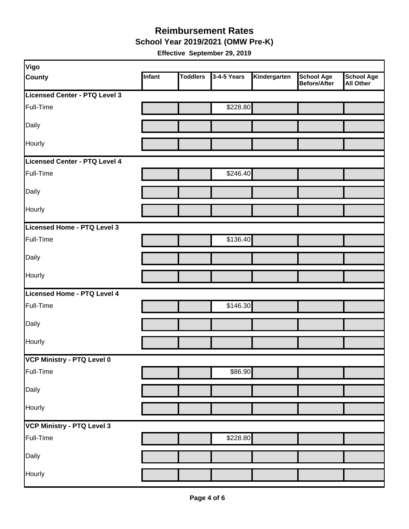**School Year 2019/2021 (OMW Pre-K)** 

| Vigo                              |        |                 |             |              |                                   |                         |
|-----------------------------------|--------|-----------------|-------------|--------------|-----------------------------------|-------------------------|
| <b>County</b>                     | Infant | <b>Toddlers</b> | 3-4-5 Years | Kindergarten | <b>School Age</b><br>Before/After | School Age<br>All Other |
| Licensed Center - PTQ Level 3     |        |                 |             |              |                                   |                         |
| Full-Time                         |        |                 | \$228.80    |              |                                   |                         |
| Daily                             |        |                 |             |              |                                   |                         |
| Hourly                            |        |                 |             |              |                                   |                         |
| Licensed Center - PTQ Level 4     |        |                 |             |              |                                   |                         |
| Full-Time                         |        |                 | \$246.40    |              |                                   |                         |
| Daily                             |        |                 |             |              |                                   |                         |
| Hourly                            |        |                 |             |              |                                   |                         |
| Licensed Home - PTQ Level 3       |        |                 |             |              |                                   |                         |
| Full-Time                         |        |                 | \$136.40    |              |                                   |                         |
| Daily                             |        |                 |             |              |                                   |                         |
| Hourly                            |        |                 |             |              |                                   |                         |
| Licensed Home - PTQ Level 4       |        |                 |             |              |                                   |                         |
| Full-Time                         |        |                 | \$146.30    |              |                                   |                         |
| Daily                             |        |                 |             |              |                                   |                         |
| Hourly                            |        |                 |             |              |                                   |                         |
| VCP Ministry - PTQ Level 0        |        |                 |             |              |                                   |                         |
| Full-Time                         |        |                 | \$86.90     |              |                                   |                         |
| Daily                             |        |                 |             |              |                                   |                         |
| Hourly                            |        |                 |             |              |                                   |                         |
| <b>VCP Ministry - PTQ Level 3</b> |        |                 |             |              |                                   |                         |
| Full-Time                         |        |                 | \$228.80    |              |                                   |                         |
| Daily                             |        |                 |             |              |                                   |                         |
| Hourly                            |        |                 |             |              |                                   |                         |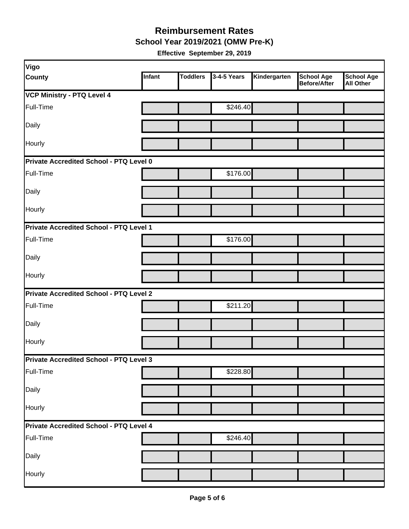**School Year 2019/2021 (OMW Pre-K)** 

| <b>Vigo</b>                                    |        |                 |             |              |                                          |                                       |  |  |  |
|------------------------------------------------|--------|-----------------|-------------|--------------|------------------------------------------|---------------------------------------|--|--|--|
| <b>County</b>                                  | Infant | <b>Toddlers</b> | 3-4-5 Years | Kindergarten | <b>School Age</b><br><b>Before/After</b> | <b>School Age</b><br><b>All Other</b> |  |  |  |
| <b>VCP Ministry - PTQ Level 4</b>              |        |                 |             |              |                                          |                                       |  |  |  |
| Full-Time                                      |        |                 | \$246.40    |              |                                          |                                       |  |  |  |
| Daily                                          |        |                 |             |              |                                          |                                       |  |  |  |
| Hourly                                         |        |                 |             |              |                                          |                                       |  |  |  |
| Private Accredited School - PTQ Level 0        |        |                 |             |              |                                          |                                       |  |  |  |
| Full-Time                                      |        |                 | \$176.00    |              |                                          |                                       |  |  |  |
| Daily                                          |        |                 |             |              |                                          |                                       |  |  |  |
| Hourly                                         |        |                 |             |              |                                          |                                       |  |  |  |
| Private Accredited School - PTQ Level 1        |        |                 |             |              |                                          |                                       |  |  |  |
| Full-Time                                      |        |                 | \$176.00    |              |                                          |                                       |  |  |  |
| Daily                                          |        |                 |             |              |                                          |                                       |  |  |  |
| Hourly                                         |        |                 |             |              |                                          |                                       |  |  |  |
| Private Accredited School - PTQ Level 2        |        |                 |             |              |                                          |                                       |  |  |  |
| Full-Time                                      |        |                 | \$211.20    |              |                                          |                                       |  |  |  |
| Daily                                          |        |                 |             |              |                                          |                                       |  |  |  |
| Hourly                                         |        |                 |             |              |                                          |                                       |  |  |  |
| Private Accredited School - PTQ Level 3        |        |                 |             |              |                                          |                                       |  |  |  |
| Full-Time                                      |        |                 | \$228.80    |              |                                          |                                       |  |  |  |
| Daily                                          |        |                 |             |              |                                          |                                       |  |  |  |
| Hourly                                         |        |                 |             |              |                                          |                                       |  |  |  |
| <b>Private Accredited School - PTQ Level 4</b> |        |                 |             |              |                                          |                                       |  |  |  |
| Full-Time                                      |        |                 | \$246.40    |              |                                          |                                       |  |  |  |
| Daily                                          |        |                 |             |              |                                          |                                       |  |  |  |
| Hourly                                         |        |                 |             |              |                                          |                                       |  |  |  |